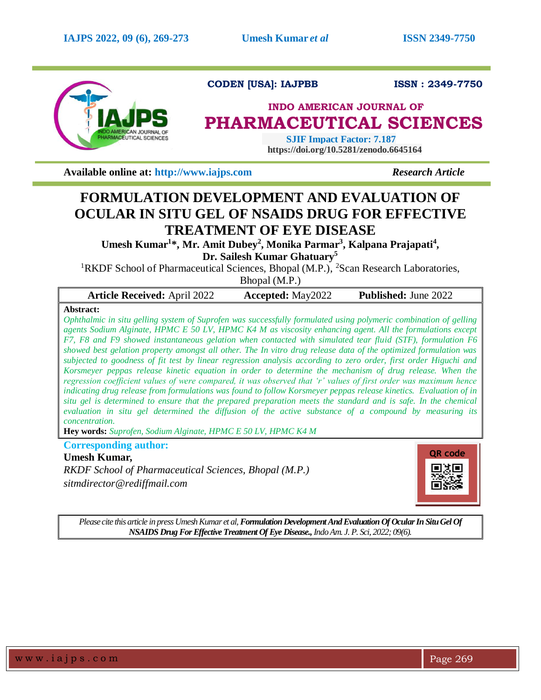

**CODEN [USA]: IAJPBB ISSN : 2349-7750** 

# **INDO AMERICAN JOURNAL OF PHARMACEUTICAL SCIENCES**

 **SJIF Impact Factor: 7.187 https://doi.org/10.5281/zenodo.6645164**

**Available online at: [http://www.iajps.com](http://www.iajps.com/)** *Research Article*

# **FORMULATION DEVELOPMENT AND EVALUATION OF OCULAR IN SITU GEL OF NSAIDS DRUG FOR EFFECTIVE TREATMENT OF EYE DISEASE**

Umesh Kumar<sup>1\*</sup>, Mr. Amit Dubey<sup>2</sup>, Monika Parmar<sup>3</sup>, Kalpana Prajapati<sup>4</sup>, **Dr. Sailesh Kumar Ghatuary 5**

<sup>1</sup>RKDF School of Pharmaceutical Sciences, Bhopal (M.P.), <sup>2</sup>Scan Research Laboratories,

Bhopal (M.P.)

|          | <b>Article Received: April 2022</b> | <b>Accepted:</b> May2022 | <b>Published:</b> June 2022 |
|----------|-------------------------------------|--------------------------|-----------------------------|
| $\cdots$ |                                     |                          |                             |

# **Abstract:**

*Ophthalmic in situ gelling system of Suprofen was successfully formulated using polymeric combination of gelling agents Sodium Alginate, HPMC E 50 LV, HPMC K4 M as viscosity enhancing agent. All the formulations except F7, F8 and F9 showed instantaneous gelation when contacted with simulated tear fluid (STF), formulation F6 showed best gelation property amongst all other. The In vitro drug release data of the optimized formulation was subjected to goodness of fit test by linear regression analysis according to zero order, first order Higuchi and Korsmeyer peppas release kinetic equation in order to determine the mechanism of drug release. When the regression coefficient values of were compared, it was observed that 'r' values of first order was maximum hence indicating drug release from formulations was found to follow Korsmeyer peppas release kinetics. Evaluation of in situ gel is determined to ensure that the prepared preparation meets the standard and is safe. In the chemical evaluation in situ gel determined the diffusion of the active substance of a compound by measuring its concentration.*

**Hey words:** *Suprofen, Sodium Alginate, HPMC E 50 LV, HPMC K4 M* 

**Corresponding author:** 

# **Umesh Kumar***,*

*RKDF School of Pharmaceutical Sciences, Bhopal (M.P.) sitmdirector@rediffmail.com*



*Please cite this article in press Umesh Kumar et al, Formulation Development And Evaluation Of Ocular In Situ Gel Of NSAIDS Drug For Effective Treatment Of Eye Disease.,Indo Am. J. P. Sci, 2022; 09(6).*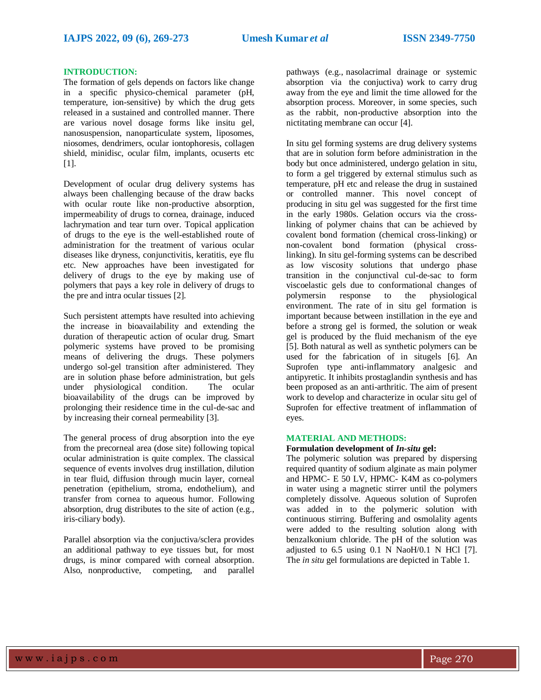#### **INTRODUCTION:**

The formation of gels depends on factors like change in a specific physico-chemical parameter (pH, temperature, ion-sensitive) by which the drug gets released in a sustained and controlled manner. There are various novel dosage forms like insitu gel, nanosuspension, nanoparticulate system, liposomes, niosomes, dendrimers, ocular iontophoresis, collagen shield, minidisc, ocular film, implants, ocuserts etc [1].

Development of ocular drug delivery systems has always been challenging because of the draw backs with ocular route like non-productive absorption, impermeability of drugs to cornea, drainage, induced lachrymation and tear turn over. Topical application of drugs to the eye is the well-established route of administration for the treatment of various ocular diseases like dryness, conjunctivitis, keratitis, eye flu etc. New approaches have been investigated for delivery of drugs to the eye by making use of polymers that pays a key role in delivery of drugs to the pre and intra ocular tissues [2].

Such persistent attempts have resulted into achieving the increase in bioavailability and extending the duration of therapeutic action of ocular drug. Smart polymeric systems have proved to be promising means of delivering the drugs. These polymers undergo sol-gel transition after administered. They are in solution phase before administration, but gels under physiological condition. The ocular bioavailability of the drugs can be improved by prolonging their residence time in the cul-de-sac and by increasing their corneal permeability [3].

The general process of drug absorption into the eye from the precorneal area (dose site) following topical ocular administration is quite complex. The classical sequence of events involves drug instillation, dilution in tear fluid, diffusion through mucin layer, corneal penetration (epithelium, stroma, endothelium), and transfer from cornea to aqueous humor. Following absorption, drug distributes to the site of action (e.g., iris-ciliary body).

Parallel absorption via the conjuctiva/sclera provides an additional pathway to eye tissues but, for most drugs, is minor compared with corneal absorption. Also, nonproductive, competing, and parallel pathways (e.g., nasolacrimal drainage or systemic absorption via the conjuctiva) work to carry drug away from the eye and limit the time allowed for the absorption process. Moreover, in some species, such as the rabbit, non-productive absorption into the nictitating membrane can occur [4].

In situ gel forming systems are drug delivery systems that are in solution form before administration in the body but once administered, undergo gelation in situ, to form a gel triggered by external stimulus such as temperature, pH etc and release the drug in sustained or controlled manner. This novel concept of producing in situ gel was suggested for the first time in the early 1980s. Gelation occurs via the crosslinking of polymer chains that can be achieved by covalent bond formation (chemical cross-linking) or non-covalent bond formation (physical crosslinking). In situ gel-forming systems can be described as low viscosity solutions that undergo phase transition in the conjunctival cul-de-sac to form viscoelastic gels due to conformational changes of polymersin response to the physiological environment. The rate of in situ gel formation is important because between instillation in the eye and before a strong gel is formed, the solution or weak gel is produced by the fluid mechanism of the eye [5]. Both natural as well as synthetic polymers can be used for the fabrication of in situgels [6]. An Suprofen type anti-inflammatory analgesic and antipyretic. It inhibits prostaglandin synthesis and has been proposed as an anti-arthritic. The aim of present work to develop and characterize in ocular situ gel of Suprofen for effective treatment of inflammation of eyes.

#### **MATERIAL AND METHODS:**

#### **Formulation development of** *In-situ* **gel:**

The polymeric solution was prepared by dispersing required quantity of sodium alginate as main polymer and HPMC- E 50 LV, HPMC- K4M as co-polymers in water using a magnetic stirrer until the polymers completely dissolve. Aqueous solution of Suprofen was added in to the polymeric solution with continuous stirring. Buffering and osmolality agents were added to the resulting solution along with benzalkonium chloride. The pH of the solution was adjusted to  $6.5$  using  $0.1$  N NaoH/0.1 N HCl [7]. The *in situ* gel formulations are depicted in Table 1.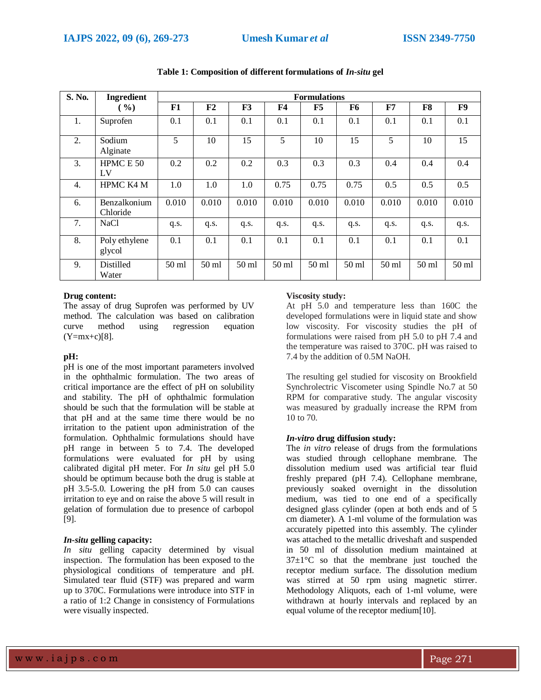| S. No. | <b>Ingredient</b><br><b>Formulations</b> |         |         |         |                |         |         |         |         |         |
|--------|------------------------------------------|---------|---------|---------|----------------|---------|---------|---------|---------|---------|
|        | ( %)                                     | F1      | F2      | F3      | F <sub>4</sub> | F5      | F6      | F7      | F8      | F9      |
| 1.     | Suprofen                                 | 0.1     | 0.1     | 0.1     | 0.1            | 0.1     | 0.1     | 0.1     | 0.1     | 0.1     |
| 2.     | Sodium<br>Alginate                       | 5       | 10      | 15      | 5              | 10      | 15      | 5       | 10      | 15      |
| 3.     | HPMC E 50<br>LV                          | 0.2     | 0.2     | 0.2     | 0.3            | 0.3     | 0.3     | 0.4     | 0.4     | 0.4     |
| 4.     | <b>HPMC K4 M</b>                         | 1.0     | 1.0     | 1.0     | 0.75           | 0.75    | 0.75    | 0.5     | 0.5     | 0.5     |
| 6.     | Benzalkonium<br>Chloride                 | 0.010   | 0.010   | 0.010   | 0.010          | 0.010   | 0.010   | 0.010   | 0.010   | 0.010   |
| 7.     | <b>NaCl</b>                              | q.s.    | q.s.    | q.s.    | q.s.           | q.s.    | q.s.    | q.s.    | q.s.    | q.s.    |
| 8.     | Poly ethylene<br>glycol                  | 0.1     | 0.1     | 0.1     | 0.1            | 0.1     | 0.1     | 0.1     | 0.1     | 0.1     |
| 9.     | Distilled<br>Water                       | $50$ ml | $50$ ml | $50$ ml | $50$ ml        | $50$ ml | $50$ ml | $50$ ml | $50$ ml | $50$ ml |

#### **Table 1: Composition of different formulations of** *In-situ* **gel**

#### **Drug content:**

The assay of drug Suprofen was performed by UV method. The calculation was based on calibration curve method using regression equation  $(Y=mx+c)[8]$ .

# **pH:**

pH is one of the most important parameters involved in the ophthalmic formulation. The two areas of critical importance are the effect of pH on solubility and stability. The pH of ophthalmic formulation should be such that the formulation will be stable at that pH and at the same time there would be no irritation to the patient upon administration of the formulation. Ophthalmic formulations should have pH range in between 5 to 7.4. The developed formulations were evaluated for pH by using calibrated digital pH meter. For *In situ* gel pH 5.0 should be optimum because both the drug is stable at pH 3.5-5.0. Lowering the pH from 5.0 can causes irritation to eye and on raise the above 5 will result in gelation of formulation due to presence of carbopol [9].

## *In-situ* **gelling capacity:**

*In situ* gelling capacity determined by visual inspection. The formulation has been exposed to the physiological conditions of temperature and pH. Simulated tear fluid (STF) was prepared and warm up to 370C. Formulations were introduce into STF in a ratio of 1:2 Change in consistency of Formulations were visually inspected.

## **Viscosity study:**

At pH 5.0 and temperature less than 160C the developed formulations were in liquid state and show low viscosity. For viscosity studies the pH of formulations were raised from pH 5.0 to pH 7.4 and the temperature was raised to 370C. pH was raised to 7.4 by the addition of 0.5M NaOH.

The resulting gel studied for viscosity on Brookfield Synchrolectric Viscometer using Spindle No.7 at 50 RPM for comparative study. The angular viscosity was measured by gradually increase the RPM from 10 to 70.

#### *In-vitro* **drug diffusion study:**

The *in vitro* release of drugs from the formulations was studied through cellophane membrane. The dissolution medium used was artificial tear fluid freshly prepared (pH 7.4). Cellophane membrane, previously soaked overnight in the dissolution medium, was tied to one end of a specifically designed glass cylinder (open at both ends and of 5 cm diameter). A 1-ml volume of the formulation was accurately pipetted into this assembly. The cylinder was attached to the metallic driveshaft and suspended in 50 ml of dissolution medium maintained at  $37\pm1\degree$ C so that the membrane just touched the receptor medium surface. The dissolution medium was stirred at 50 rpm using magnetic stirrer. Methodology Aliquots, each of 1-ml volume, were withdrawn at hourly intervals and replaced by an equal volume of the receptor medium[10].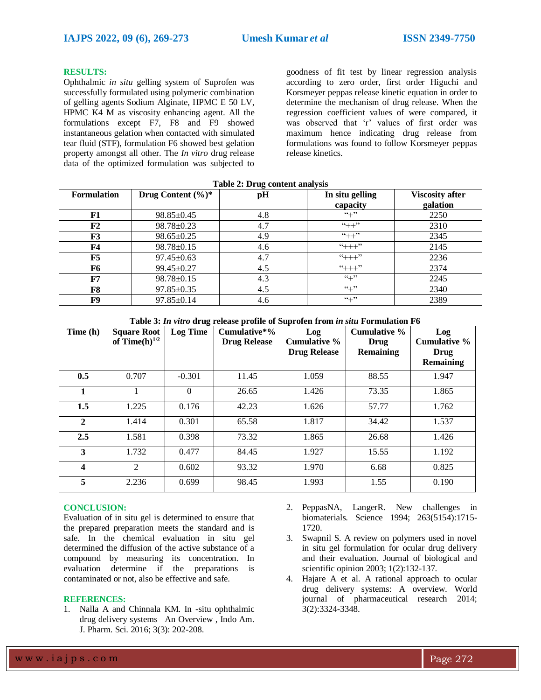### **RESULTS:**

Ophthalmic *in situ* gelling system of Suprofen was successfully formulated using polymeric combination of gelling agents Sodium Alginate, HPMC E 50 LV, HPMC K4 M as viscosity enhancing agent. All the formulations except F7, F8 and F9 showed instantaneous gelation when contacted with simulated tear fluid (STF), formulation F6 showed best gelation property amongst all other. The *In vitro* drug release data of the optimized formulation was subjected to

goodness of fit test by linear regression analysis according to zero order, first order Higuchi and Korsmeyer peppas release kinetic equation in order to determine the mechanism of drug release. When the regression coefficient values of were compared, it was observed that 'r' values of first order was maximum hence indicating drug release from formulations was found to follow Korsmeyer peppas release kinetics.

| <b>Formulation</b> | Drug Content $(\%)^*$ | pH  | In situ gelling<br>capacity | <b>Viscosity after</b><br>galation |
|--------------------|-----------------------|-----|-----------------------------|------------------------------------|
| F1                 | $98.85 \pm 0.45$      | 4.8 | $(4 + 2)$                   | 2250                               |
| F2                 | $98.78 \pm 0.23$      | 4.7 | $``++"$                     | 2310                               |
| F3                 | $98.65 \pm 0.25$      | 4.9 | $``++"$                     | 2345                               |
| F4                 | $98.78 \pm 0.15$      | 4.6 | $4++1$                      | 2145                               |
| F5                 | $97.45 \pm 0.63$      | 4.7 | $4 + + +$                   | 2236                               |
| F6                 | $99.45 \pm 0.27$      | 4.5 | $4 + + +$                   | 2374                               |
| F7                 | $98.78 \pm 0.15$      | 4.3 | $``+"$                      | 2245                               |
| F8                 | $97.85 \pm 0.35$      | 4.5 | $``+"$                      | 2340                               |
| F9                 | $97.85 \pm 0.14$      | 4.6 | $``+"$                      | 2389                               |

**Table 2: Drug content analysis**

**Table 3:** *In vitro* **drug release profile of Suprofen from** *in situ* **Formulation F6**

| Time (h)     | <b>Square Root</b><br>of $Time(h)^{1/2}$ | <b>Log Time</b> | $Cumulative*%$<br><b>Drug Release</b> | Log<br>Cumulative %<br><b>Drug Release</b> | Cumulative %<br>Drug<br><b>Remaining</b> | Log<br><b>Cumulative %</b><br>Drug<br><b>Remaining</b> |
|--------------|------------------------------------------|-----------------|---------------------------------------|--------------------------------------------|------------------------------------------|--------------------------------------------------------|
| 0.5          | 0.707                                    | $-0.301$        | 11.45                                 | 1.059                                      | 88.55                                    | 1.947                                                  |
| 1            |                                          | $\Omega$        | 26.65                                 | 1.426                                      | 73.35                                    | 1.865                                                  |
| 1.5          | 1.225                                    | 0.176           | 42.23                                 | 1.626                                      | 57.77                                    | 1.762                                                  |
| $\mathbf{2}$ | 1.414                                    | 0.301           | 65.58                                 | 1.817                                      | 34.42                                    | 1.537                                                  |
| 2.5          | 1.581                                    | 0.398           | 73.32                                 | 1.865                                      | 26.68                                    | 1.426                                                  |
| 3            | 1.732                                    | 0.477           | 84.45                                 | 1.927                                      | 15.55                                    | 1.192                                                  |
| 4            | 2                                        | 0.602           | 93.32                                 | 1.970                                      | 6.68                                     | 0.825                                                  |
| 5            | 2.236                                    | 0.699           | 98.45                                 | 1.993                                      | 1.55                                     | 0.190                                                  |

# **CONCLUSION:**

Evaluation of in situ gel is determined to ensure that the prepared preparation meets the standard and is safe. In the chemical evaluation in situ gel determined the diffusion of the active substance of a compound by measuring its concentration. In evaluation determine if the preparations is contaminated or not, also be effective and safe.

#### **REFERENCES:**

1. Nalla A and Chinnala KM. In -situ ophthalmic drug delivery systems –An Overview , Indo Am. J. Pharm. Sci. 2016; 3(3): 202-208.

- 2. PeppasNA, LangerR. New challenges in biomaterials. Science 1994; 263(5154):1715- 1720.
- 3. Swapnil S. A review on polymers used in novel in situ gel formulation for ocular drug delivery and their evaluation. Journal of biological and scientific opinion 2003; 1(2):132-137.
- 4. Hajare A et al. A rational approach to ocular drug delivery systems: A overview. World journal of pharmaceutical research 2014; 3(2):3324-3348.